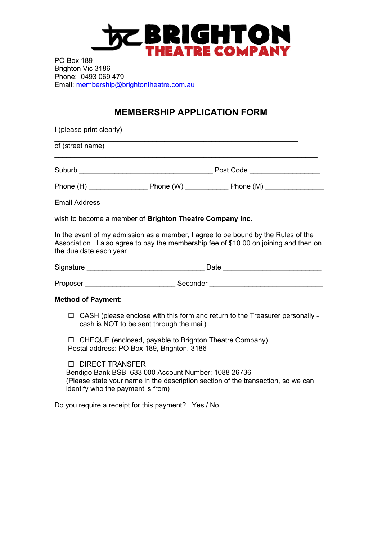## **DE BRIGHTON**

PO Box 189 Brighton Vic 3186 Phone: 0493 069 479 Email: membership@brightontheatre.com.au

## **MEMBERSHIP APPLICATION FORM**

| I (please print clearly)                                                                                                        |                                                          |                                                                                                                                                                            |  |  |
|---------------------------------------------------------------------------------------------------------------------------------|----------------------------------------------------------|----------------------------------------------------------------------------------------------------------------------------------------------------------------------------|--|--|
| of (street name)                                                                                                                |                                                          |                                                                                                                                                                            |  |  |
|                                                                                                                                 |                                                          |                                                                                                                                                                            |  |  |
|                                                                                                                                 |                                                          |                                                                                                                                                                            |  |  |
|                                                                                                                                 |                                                          |                                                                                                                                                                            |  |  |
|                                                                                                                                 | wish to become a member of Brighton Theatre Company Inc. |                                                                                                                                                                            |  |  |
| the due date each year.                                                                                                         |                                                          | In the event of my admission as a member, I agree to be bound by the Rules of the<br>Association. I also agree to pay the membership fee of \$10.00 on joining and then on |  |  |
|                                                                                                                                 |                                                          |                                                                                                                                                                            |  |  |
|                                                                                                                                 |                                                          | Proposer _________________________________Seconder _____________________________                                                                                           |  |  |
| <b>Method of Payment:</b>                                                                                                       |                                                          |                                                                                                                                                                            |  |  |
| $\Box$ CASH (please enclose with this form and return to the Treasurer personally -<br>cash is NOT to be sent through the mail) |                                                          |                                                                                                                                                                            |  |  |
| □ CHEQUE (enclosed, payable to Brighton Theatre Company)<br>Postal address: PO Box 189, Brighton. 3186                          |                                                          |                                                                                                                                                                            |  |  |
| <b>D</b> DIRECT TRANSFER<br>identify who the payment is from)                                                                   | Bendigo Bank BSB: 633 000 Account Number: 1088 26736     | (Please state your name in the description section of the transaction, so we can                                                                                           |  |  |
|                                                                                                                                 | Do you require a receipt for this payment? Yes / No      |                                                                                                                                                                            |  |  |